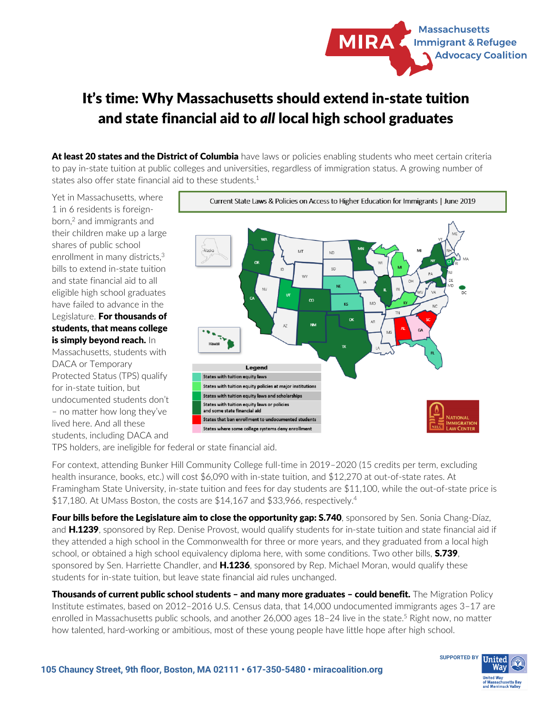

## It's time: Why Massachusetts should extend in-state tuition and state financial aid to *all* local high school graduates

At least 20 states and the District of Columbia have laws or policies enabling students who meet certain criteria to pay in-state tuition at public colleges and universities, regardless of immigration status. A growing number of states also offer state financial aid to these students.<sup>1</sup>

Yet in Massachusetts, where 1 in 6 residents is foreignborn,<sup>2</sup> and immigrants and their children make up a large shares of public school enrollment in many districts.<sup>3</sup> bills to extend in-state tuition and state financial aid to all eligible high school graduates have failed to advance in the Legislature. For thousands of students, that means college is simply beyond reach. In

Massachusetts, students with DACA or Temporary Protected Status (TPS) qualify for in-state tuition, but undocumented students don't – no matter how long they've lived here. And all these students, including DACA and



TPS holders, are ineligible for federal or state financial aid.

For context, attending Bunker Hill Community College full-time in 2019–2020 (15 credits per term, excluding health insurance, books, etc.) will cost \$6,090 with in-state tuition, and \$12,270 at out-of-state rates. At Framingham State University, in-state tuition and fees for day students are \$11,100, while the out-of-state price is \$17,180. At UMass Boston, the costs are \$14,167 and \$33,966, respectively.<sup>4</sup>

Four bills before the Legislature aim to close the opportunity gap: S.740, sponsored by Sen. Sonia Chang-Díaz, and H.1239, sponsored by Rep. Denise Provost, would qualify students for in-state tuition and state financial aid if they attended a high school in the Commonwealth for three or more years, and they graduated from a local high school, or obtained a high school equivalency diploma here, with some conditions. Two other bills, **S.739**, sponsored by Sen. Harriette Chandler, and H.1236, sponsored by Rep. Michael Moran, would qualify these students for in-state tuition, but leave state financial aid rules unchanged.

Thousands of current public school students - and many more graduates - could benefit. The Migration Policy Institute estimates, based on 2012–2016 U.S. Census data, that 14,000 undocumented immigrants ages 3–17 are enrolled in Massachusetts public schools, and another 26,000 ages 18–24 live in the state.<sup>5</sup> Right now, no matter how talented, hard-working or ambitious, most of these young people have little hope after high school.